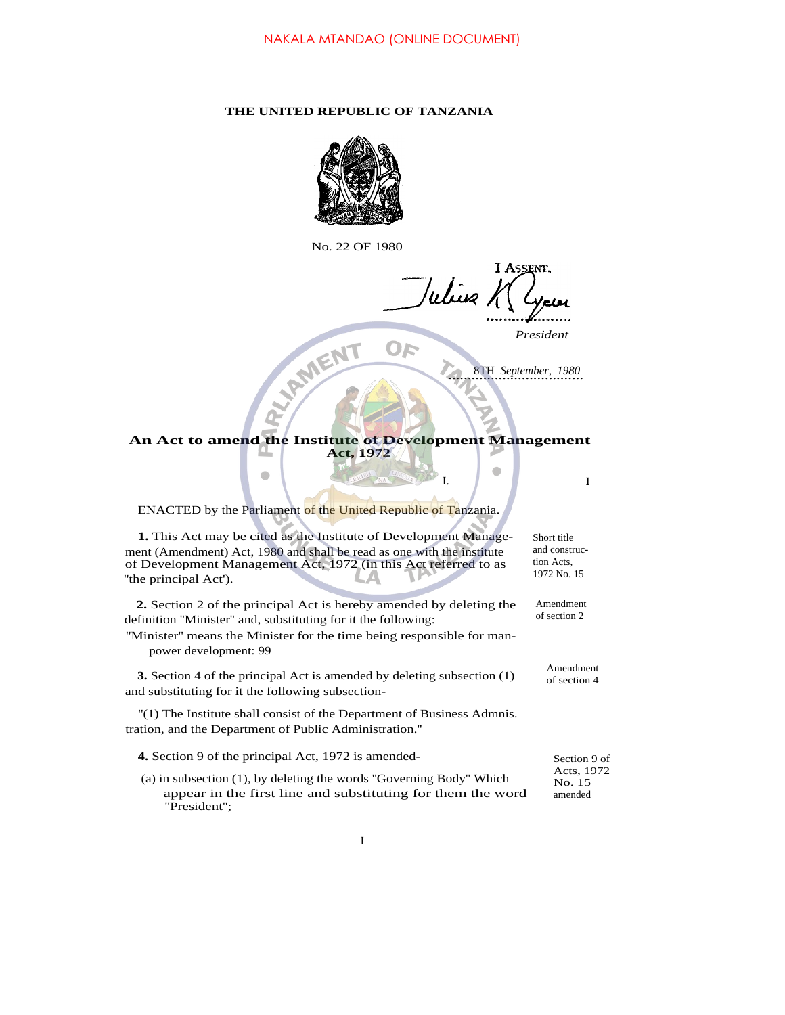## **THE UNITED REPUBLIC OF TANZANIA**



No. 22 OF 1980

T ASSENT Whis

*President*

*...................................* 8TH *September, 1980*

 $\bullet$ 

**An Act to amend the Institute of Development Management Act, 1972**

I. **I**

ENACTED by the Parliament of the United Republic of Tanzania.

 $\bullet$ 

MENT

**1.** This Act may be cited as the Institute of Development Management (Amendment) Act, 1980 and shall be read as one with the institute of Development Management Act, 1972 (in this Act referred to as A. ''the principal Act').

**2.** Section 2 of the principal Act is hereby amended by deleting the definition ''Minister'' and, substituting for it the following:

''Minister'' means the Minister for the time being responsible for manpower development: 99

**3.** Section 4 of the principal Act is amended by deleting subsection  $(1)$  of section 4 and substituting for it the following subsection-

''(1) The Institute shall consist of the Department of Business Admnis. tration, and the Department of Public Administration.''

**4.** Section 9 of the principal Act, 1972 is amended- Section 9 of

amended (a) in subsection (1), by deleting the words ''Governing Body'' Which appear in the first line and substituting for them the word ''President'';

Short title and construction Acts, 1972 No. 15

Amendment of section 2

Amendment

Acts, 1972 No. 15